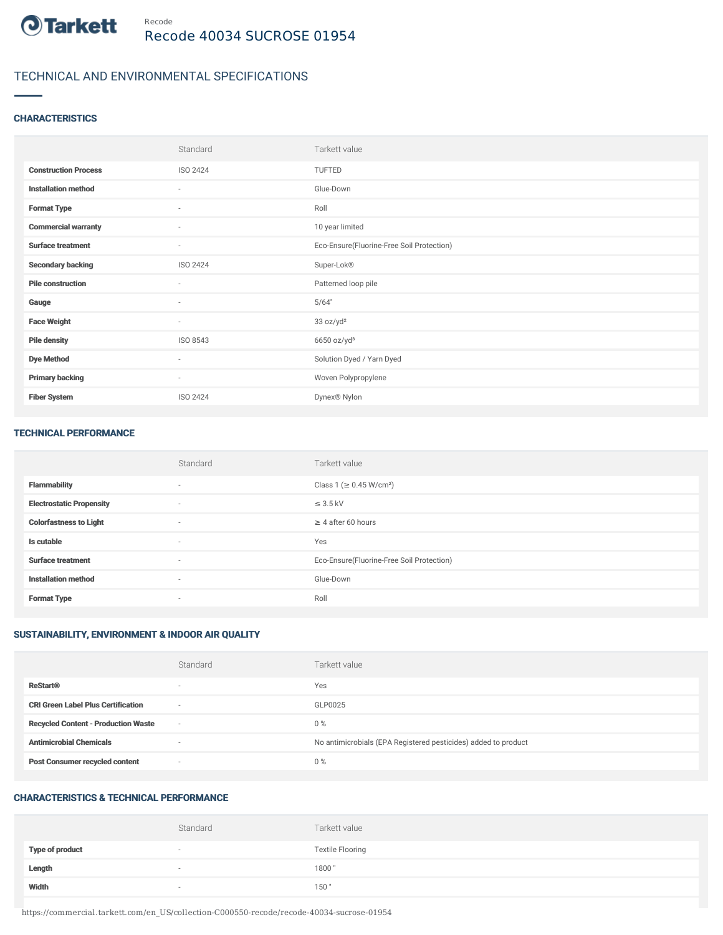

# TECHNICAL AND ENVIRONMENTAL SPECIFICATIONS

### **CHARACTERISTICS**

|                             | Standard                 | Tarkett value                             |
|-----------------------------|--------------------------|-------------------------------------------|
| <b>Construction Process</b> | ISO 2424                 | TUFTED                                    |
| <b>Installation method</b>  | $\sim$                   | Glue-Down                                 |
| <b>Format Type</b>          | $\sim$                   | Roll                                      |
| <b>Commercial warranty</b>  | $\overline{\phantom{a}}$ | 10 year limited                           |
| <b>Surface treatment</b>    | $\sim$                   | Eco-Ensure(Fluorine-Free Soil Protection) |
| <b>Secondary backing</b>    | ISO 2424                 | Super-Lok®                                |
| <b>Pile construction</b>    | $\sim$                   | Patterned loop pile                       |
| Gauge                       | ×.                       | 5/64"                                     |
| <b>Face Weight</b>          | $\sim$                   | 33 oz/yd <sup>2</sup>                     |
| <b>Pile density</b>         | ISO 8543                 | $6650$ oz/yd <sup>3</sup>                 |
| <b>Dye Method</b>           | $\sim$                   | Solution Dyed / Yarn Dyed                 |
| <b>Primary backing</b>      | $\sim$                   | Woven Polypropylene                       |
| <b>Fiber System</b>         | ISO 2424                 | Dynex® Nylon                              |

#### TECHNICAL PERFORMANCE

|                                 | Standard | Tarkett value                             |
|---------------------------------|----------|-------------------------------------------|
| <b>Flammability</b>             | $\sim$   | Class 1 (≥ 0.45 W/cm <sup>2</sup> )       |
| <b>Electrostatic Propensity</b> | $\sim$   | $\leq$ 3.5 kV                             |
| <b>Colorfastness to Light</b>   | $\sim$   | $\geq$ 4 after 60 hours                   |
| Is cutable                      | $\sim$   | Yes                                       |
| <b>Surface treatment</b>        | $\sim$   | Eco-Ensure(Fluorine-Free Soil Protection) |
| <b>Installation method</b>      | $\sim$   | Glue-Down                                 |
| <b>Format Type</b>              | $\sim$   | Roll                                      |

## SUSTAINABILITY, ENVIRONMENT & INDOOR AIR QUALITY

|                                            | Standard                 | Tarkett value                                                  |
|--------------------------------------------|--------------------------|----------------------------------------------------------------|
| <b>ReStart®</b>                            | $\overline{\phantom{a}}$ | Yes                                                            |
| <b>CRI Green Label Plus Certification</b>  | $\sim$                   | GLP0025                                                        |
| <b>Recycled Content - Production Waste</b> | $\sim$                   | $0\%$                                                          |
| <b>Antimicrobial Chemicals</b>             | -                        | No antimicrobials (EPA Registered pesticides) added to product |
| <b>Post Consumer recycled content</b>      | $\sim$                   | $0\%$                                                          |

## CHARACTERISTICS & TECHNICAL PERFORMANCE

|                        | Standard | Tarkett value           |
|------------------------|----------|-------------------------|
| <b>Type of product</b> |          | <b>Textile Flooring</b> |
| Length                 |          | 1800                    |
| Width                  | $\sim$   | 150"                    |

https://commercial.tarkett.com/en\_US/collection-C000550-recode/recode-40034-sucrose-01954